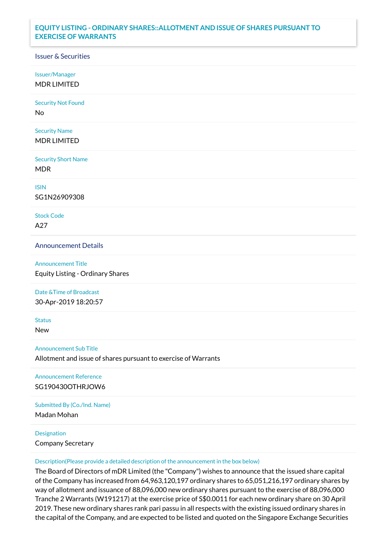## **EQUITY LISTING - ORDINARY SHARES::ALLOTMENT AND ISSUE OF SHARES PURSUANT TO EXERCISE OF WARRANTS**

## Issuer & Securities

Issuer/Manager

MDR LIMITED

Security Not Found

No

Security Name MDR LIMITED

Security Short Name MDR

ISIN

SG1N26909308

Stock Code A27

Announcement Details

Announcement Title Equity Listing - Ordinary Shares

Date &Time of Broadcast

30-Apr-2019 18:20:57

**Status** 

New

Announcement Sub Title

Allotment and issue of shares pursuant to exercise of Warrants

Announcement Reference SG190430OTHRJOW6

Submitted By (Co./Ind. Name)

Madan Mohan

**Designation** 

Company Secretary

Description(Please provide a detailed description of the announcement in the box below)

The Board of Directors of mDR Limited (the "Company") wishes to announce that the issued share capital of the Company has increased from 64,963,120,197 ordinary shares to 65,051,216,197 ordinary shares by way of allotment and issuance of 88,096,000 new ordinary shares pursuant to the exercise of 88,096,000 Tranche 2 Warrants (W191217) at the exercise price of S\$0.0011 for each new ordinary share on 30 April 2019. These new ordinary shares rank pari passu in all respects with the existing issued ordinary shares in the capital of the Company, and are expected to be listed and quoted on the Singapore Exchange Securities